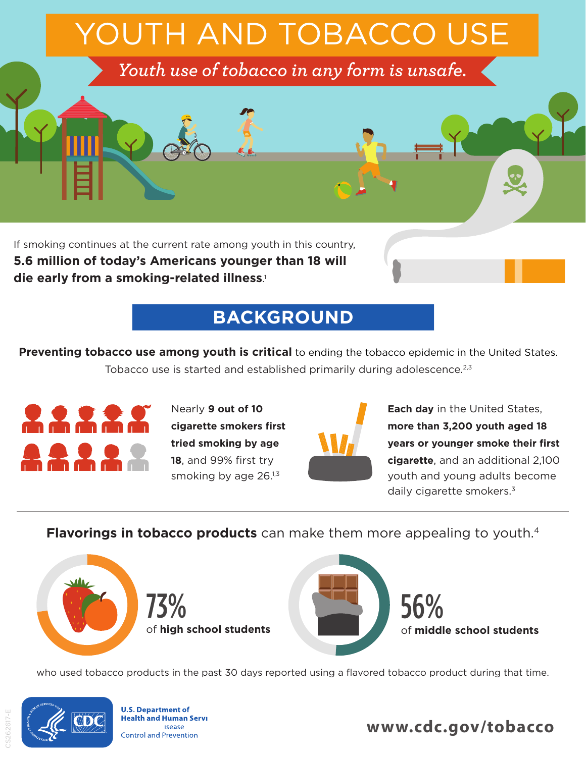

**5.6 million of today's Americans younger than 18 will die early from a smoking-related illness**. 1

# **BACKGROUND**

**Preventing tobacco use among youth is critical** to ending the tobacco epidemic in the United States. Tobacco use is started and established primarily during adolescence.<sup>2,3</sup>



**cigarette smokers first tried smoking by age 18**, and 99% first try smoking by age 26.<sup>1,3</sup>



Nearly **9 out of 10 Each day** in the United States, **more than 3,200 youth aged 18 years or younger smoke their first cigarette**, and an additional 2,100 youth and young adults become daily cigarette smokers.<sup>3</sup>

**Flavorings in tobacco products** can make them more appealing to youth.<sup>4</sup>



who used tobacco products in the past 30 days reported using a flavored tobacco product during that time.



**U.S. Department of Health and Human Servi Isease Control and Prevention** 

**www.cdc.gov/tobacco**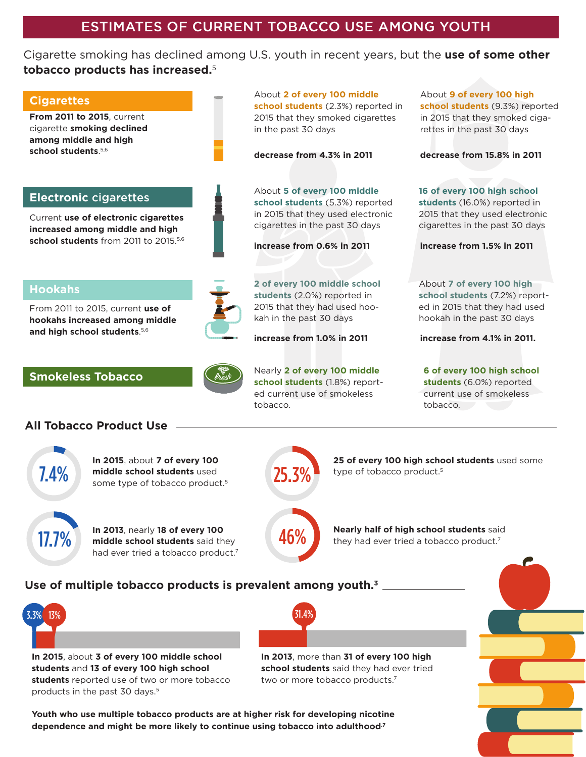#### Cigarette smoking has declined among U.S. youth in recent years, but the **use of some other tobacco products has increased.**<sup>5</sup>

in the past 30 days

#### **Cigarettes**

**From 2011 to 2015**, current cigarette **smoking declined among middle and high**  school students.<sup>5,6</sup>

#### **Electronic** cigarettes

Current **use of electronic cigarettes increased among middle and high**  school students from 2011 to 2015.<sup>5,6</sup>

From 2011 to 2015, current **use of hookahs increased among middle and high school students**. 5,6

#### About **2 of every 100 middle school students** (2.3%) reported in 2015 that they smoked cigarettes

**decrease from 4.3% in 2011** 

About **5 of every 100 middle school students** (5.3%) reported in 2015 that they used electronic cigarettes in the past 30 days

**increase from 0.6% in 2011** 

**2 of every 100 middle school students** (2.0%) reported in 2015 that they had used hookah in the past 30 days

**increase from 1.0% in 2011** 

**Smokeless Tobacco** 



Nearly **2 of every 100 middle school students** (1.8%) reported current use of smokeless tobacco.

About **9 of every 100 high school students** (9.3%) reported in 2015 that they smoked cigarettes in the past 30 days

**decrease from 15.8% in 2011** 

**16 of every 100 high school students** (16.0%) reported in 2015 that they used electronic cigarettes in the past 30 days

**increase from 1.5% in 2011** 

About **7 of every 100 high school students** (7.2%) reported in 2015 that they had used hookah in the past 30 days

**increase from 4.1% in 2011.** 

**6 of every 100 high school students** (6.0%) reported current use of smokeless tobacco.

### **All Tobacco Product Use**



**Hookahs** 

**In 2015**, about **7 of every 100 middle school students** used some type of tobacco product.<sup>5</sup> 25.3%

17.7% **In 2013**, nearly **18 of every 100 middle school students** said they had ever tried a tobacco product.<sup>7</sup>

46%

31.4%

**25 of every 100 high school students** used some

**Nearly half of high school students** said they had ever tried a tobacco product.<sup>7</sup>

type of tobacco product.<sup>5</sup>

#### **Use of multiple tobacco products is prevalent among youth.3**



**In 2015**, about **3 of every 100 middle school students** and **13 of every 100 high school students** reported use of two or more tobacco products in the past 30 days.5

**In 2013**, more than **31 of every 100 high school students** said they had ever tried two or more tobacco products.<sup>7</sup>

**Youth who use multiple tobacco products are at higher risk for developing nicotine dependence and might be more likely to continue using tobacco into adulthood.7** 

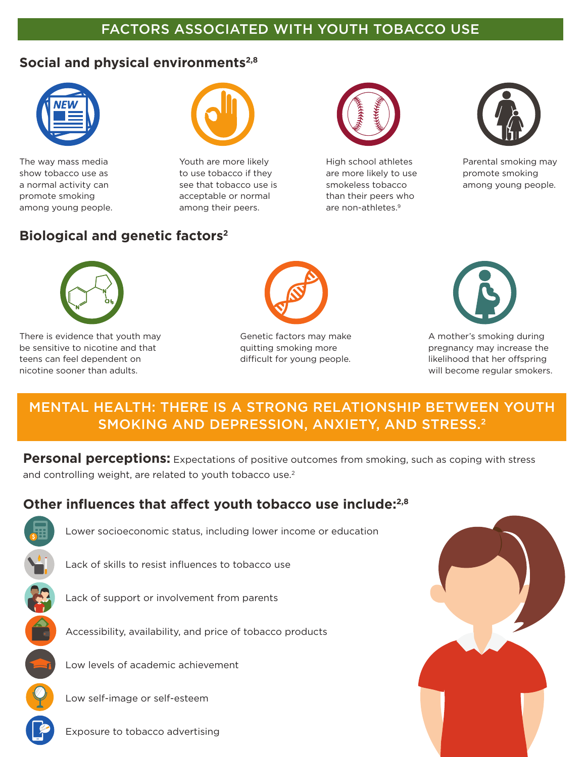## FACTORS ASSOCIATED WITH YOUTH TOBACCO USE

## Social and physical environments<sup>2,8</sup>



The way mass media The Wouth are more likely show tobacco use as to use tobacco if they promote smoking acceptable or normal among young people. The samong their peers.



a normal activity can see that tobacco use is

## **Biological and genetic factors2**



High school athletes are more likely to use smokeless tobacco than their peers who are non-athletes.9



Parental smoking may promote smoking among young people.



There is evidence that youth may example of the Genetic factors may make  $\overline{A}$  A mother's smoking during be sensitive to nicotine and that **product and that** quitting smoking more **product** pregnancy may increase the teens can feel dependent on example and the difficult for young people. The likelihood that her offspring nicotine sooner than adults. will become regular smokers.





## MENTAL HEALTH: THERE IS A STRONG RELATIONSHIP BETWEEN YOUTH SMOKING AND DEPRESSION, ANXIETY, AND STRESS.2

**Personal perceptions:** Expectations of positive outcomes from smoking, such as coping with stress and controlling weight, are related to youth tobacco use.<sup>2</sup>

## **Other influences that affect youth tobacco use include:2,8**



Lower socioeconomic status, including lower income or education





Lack of support or involvement from parents

Accessibility, availability, and price of tobacco products

Low levels of academic achievement

Low self-image or self-esteem

Exposure to tobacco advertising

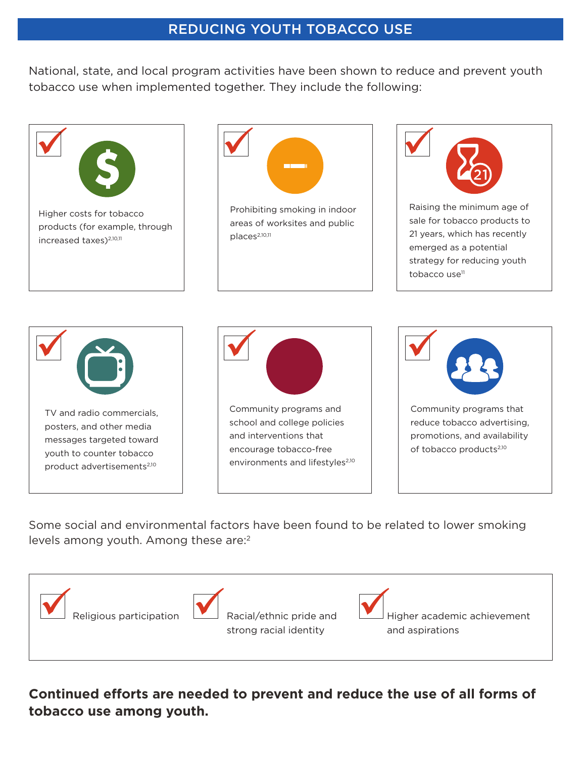## REDUCING YOUTH TOBACCO USE

National, state, and local program activities have been shown to reduce and prevent youth tobacco use when implemented together. They include the following:



Some social and environmental factors have been found to be related to lower smoking levels among youth. Among these are:<sup>2</sup>



**Continued efforts are needed to prevent and reduce the use of all forms of tobacco use among youth.**